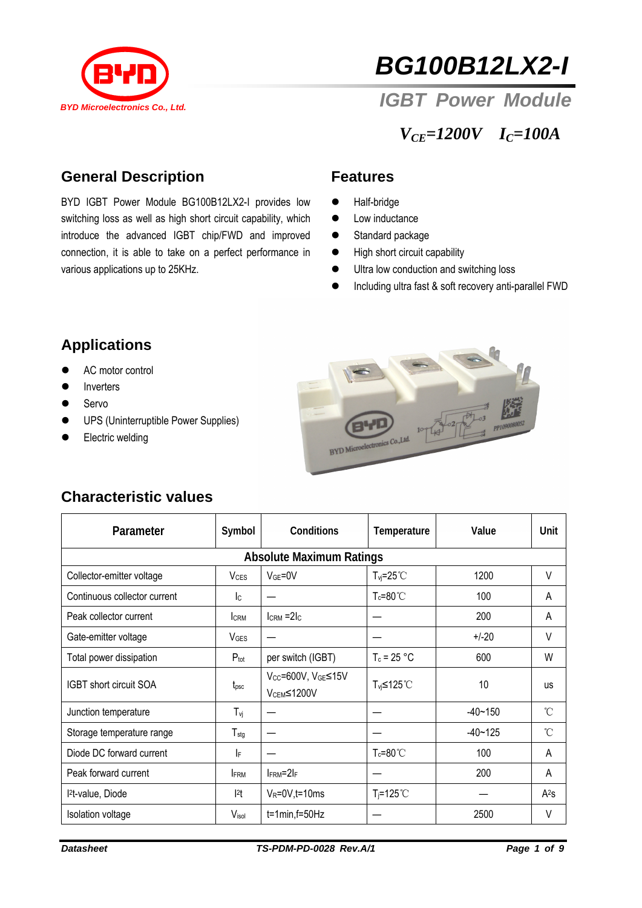

# *BG100B12LX2-I*

 *IGBT Power Module* 

*VCE=1200V IC=100A* 

### **General Description**

BYD IGBT Power Module BG100B12LX2-I provides low switching loss as well as high short circuit capability, which introduce the advanced IGBT chip/FWD and improved connection, it is able to take on a perfect performance in various applications up to 25KHz.

#### **Features**

- $\bullet$  Half-bridge
- $\bullet$  Low inductance
- Standard package
- High short circuit capability
- $\bullet$  Ultra low conduction and switching loss
- **•** Including ultra fast & soft recovery anti-parallel FWD

## **Applications**

- AC motor control
- Inverters
- $\bullet$  Servo
- **•** UPS (Uninterruptible Power Supplies)
- Electric welding



## **Characteristic values**

| Parameter                       | Symbol                 | Conditions                                   | Temperature           | Value       | Unit      |  |  |  |  |
|---------------------------------|------------------------|----------------------------------------------|-----------------------|-------------|-----------|--|--|--|--|
| <b>Absolute Maximum Ratings</b> |                        |                                              |                       |             |           |  |  |  |  |
| Collector-emitter voltage       | <b>V<sub>CES</sub></b> | $VGE=0V$                                     | $T_{vi} = 25^{\circ}$ | 1200        | V         |  |  |  |  |
| Continuous collector current    | lc.                    |                                              | $T_c = 80^{\circ}$ C  | 100         | A         |  |  |  |  |
| Peak collector current          | <b>CRM</b>             | $lcRM = 2lc$                                 |                       | 200         | A         |  |  |  |  |
| Gate-emitter voltage            | <b>V<sub>GES</sub></b> |                                              |                       | $+/-20$     | V         |  |  |  |  |
| Total power dissipation         | $P_{\text{tot}}$       | per switch (IGBT)                            | $T_c = 25 °C$         | 600         | W         |  |  |  |  |
| IGBT short circuit SOA          | $t_{\rm psc}$          | Vcc=600V, VGE≤15V<br>V <sub>CEM</sub> ≤1200V | T <sub>vi</sub> ≤125℃ | 10          | <b>US</b> |  |  |  |  |
| Junction temperature            | $T_{\nu j}$            |                                              |                       | $-40 - 150$ | 'n        |  |  |  |  |
| Storage temperature range       | $T_{\text{stg}}$       |                                              |                       | $-40 - 125$ | °C        |  |  |  |  |
| Diode DC forward current        | IF                     |                                              | $T_c = 80^{\circ}$ C  | 100         | A         |  |  |  |  |
| Peak forward current            | <b>IFRM</b>            | $I_{\text{FRM}} = 2I_{\text{F}}$             |                       | 200         | A         |  |  |  |  |
| <sup>2</sup> t-value, Diode     | 2t                     | $V_R = 0V$ , t = 10 ms                       | $T_i = 125^{\circ}$   |             | $A^2s$    |  |  |  |  |
| Isolation voltage               | V <sub>isol</sub>      | $t=1$ min, $f=50$ Hz                         |                       | 2500        | V         |  |  |  |  |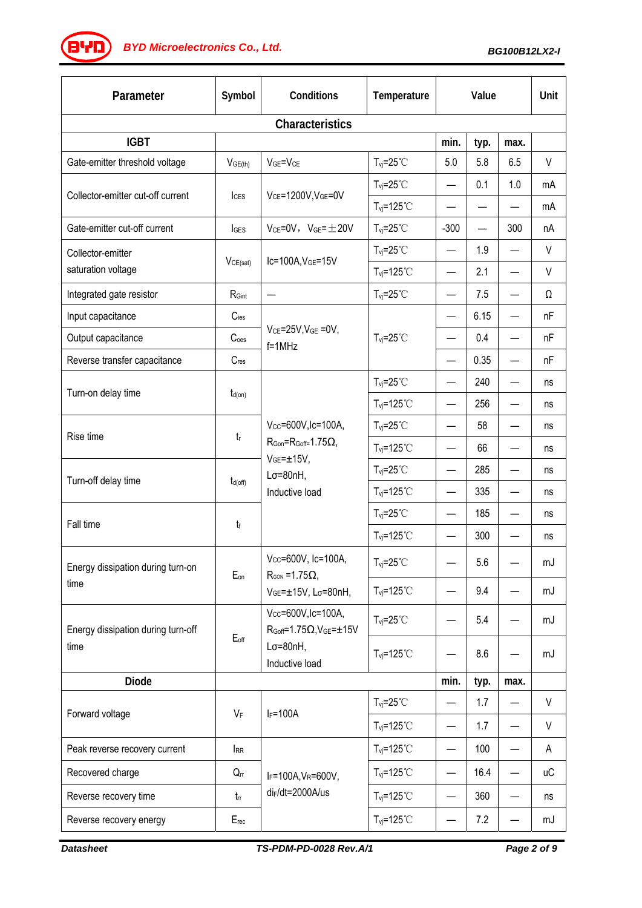*BG100B12LX2-I BYD Microelectronics Co., Ltd.*

| Parameter                                  | Symbol                   | Conditions                                                                                                                        | Temperature                      | Value                    |      | Unit |           |  |  |
|--------------------------------------------|--------------------------|-----------------------------------------------------------------------------------------------------------------------------------|----------------------------------|--------------------------|------|------|-----------|--|--|
| Characteristics                            |                          |                                                                                                                                   |                                  |                          |      |      |           |  |  |
| <b>IGBT</b>                                |                          |                                                                                                                                   |                                  | min.                     | typ. | max. |           |  |  |
| Gate-emitter threshold voltage             | V <sub>GE(th)</sub>      | $V_{GE} = V_{CE}$                                                                                                                 | $T_{vi} = 25^{\circ}$ C          | 5.0                      | 5.8  | 6.5  | $\vee$    |  |  |
| Collector-emitter cut-off current          | <b>I</b> c <sub>ES</sub> | VCE=1200V, VGE=0V                                                                                                                 | $T_{\text{vj}}=25^{\circ}C$      | $\overline{\phantom{0}}$ | 0.1  | 1.0  | mA        |  |  |
|                                            |                          |                                                                                                                                   | $T_{vj} = 125^{\circ}$ C         |                          |      |      | mA        |  |  |
| Gate-emitter cut-off current               | <b>I</b> GES             | $V_{CE} = 0V$ , $V_{GE} = \pm 20V$                                                                                                | $T_{vi} = 25^{\circ}$ C          | $-300$                   | —    | 300  | nA        |  |  |
| Collector-emitter                          |                          | $lc=100A, VGE=15V$                                                                                                                | $T_{\text{vj}}=25^{\circ}C$      | $\overline{\phantom{0}}$ | 1.9  |      | V         |  |  |
| saturation voltage                         | VCE(sat)                 |                                                                                                                                   | $T_{vj} = 125^{\circ}$ C         |                          | 2.1  |      | $\vee$    |  |  |
| Integrated gate resistor                   | RGint                    | —                                                                                                                                 | $T_{\text{vj}}=25^{\circ}C$      | $\qquad \qquad \qquad$   | 7.5  |      | Ω         |  |  |
| Input capacitance                          | $C$ ies                  |                                                                                                                                   | $T_{vi} = 25^{\circ}$ C          | $\overline{\phantom{0}}$ | 6.15 |      | nF        |  |  |
| Output capacitance                         | C <sub>oes</sub>         | $V_{CE} = 25V$ , $V_{GE} = 0V$ ,<br>$f = 1$ MHz                                                                                   |                                  | —                        | 0.4  |      | nF        |  |  |
| Reverse transfer capacitance               | $C_{res}$                |                                                                                                                                   |                                  | $\overline{\phantom{0}}$ | 0.35 |      | nF        |  |  |
| Turn-on delay time                         | $t_{d(on)}$              |                                                                                                                                   | $T_{\text{vj}}=25^{\circ}C$      | $\overline{\phantom{0}}$ | 240  |      | ns        |  |  |
|                                            |                          |                                                                                                                                   | $T_{vi} = 125^{\circ}$ C         | $\overline{\phantom{0}}$ | 256  |      | ns        |  |  |
|                                            | $t_{\rm r}$              | Vcc=600V, Ic=100A,<br>$R_{\text{Gon}} = R_{\text{Goff}} = 1.75 \Omega$ ,<br>$VGE = ±15V,$<br>$L\sigma = 80nH$ ,<br>Inductive load | $T_{\text{vj}}=25^{\circ}C$      | $\qquad \qquad \qquad$   | 58   |      | ns        |  |  |
| Rise time                                  |                          |                                                                                                                                   | $T_{vj} = 125^{\circ}$ C         |                          | 66   |      | ns        |  |  |
| Turn-off delay time                        | $t_{d(off)}$             |                                                                                                                                   | $T_{vj} = 25^{\circ}$ C          | $\overline{\phantom{0}}$ | 285  |      | ns        |  |  |
|                                            |                          |                                                                                                                                   | $T_{\text{vj}}$ =125°C           | $\qquad \qquad \qquad$   | 335  |      | ns        |  |  |
| Fall time                                  | tf                       |                                                                                                                                   | $T_{vi} = 25^{\circ}$            | $\qquad \qquad$          | 185  |      | ns        |  |  |
|                                            |                          |                                                                                                                                   | $T_{\text{vj}}$ =125°C           | —                        | 300  |      | ns        |  |  |
| Energy dissipation during turn-on<br>time  | Eon                      | Vcc=600V, Ic=100A,<br>$R_{\text{GON}} = 1.75\Omega$ ,<br>VGE=±15V, Lσ=80nH,                                                       | $T_{vi} = 25^{\circ}$ C          |                          | 5.6  |      | mJ        |  |  |
|                                            |                          |                                                                                                                                   | $T_{vi} = 125^{\circ}$ C         | $\overline{\phantom{0}}$ | 9.4  |      | mJ        |  |  |
| Energy dissipation during turn-off<br>time | $E_{\text{off}}$         | Vcc=600V, Ic=100A,<br>$R_{Goff} = 1.75 \Omega, V_{GE} = \pm 15 V$<br>$L\sigma = 80nH,$<br>Inductive load                          | $T_{vj} = 25^{\circ}$ C          |                          | 5.4  |      | mJ        |  |  |
|                                            |                          |                                                                                                                                   | $T_{vi} = 125$ °C                |                          | 8.6  |      | mJ        |  |  |
| <b>Diode</b>                               |                          |                                                                                                                                   |                                  | min.                     | typ. | max. |           |  |  |
| Forward voltage                            | VF                       | $I_F = 100A$                                                                                                                      | $T_{vi} = 25^{\circ}$ C          | $\qquad \qquad \qquad$   | 1.7  |      | V         |  |  |
|                                            |                          |                                                                                                                                   | $T_{vj} = 125°C$                 | —                        | 1.7  |      | $\vee$    |  |  |
| Peak reverse recovery current              | <b>IRR</b>               | $I_F = 100A, V_R = 600V,$<br>di <sub>F</sub> /dt=2000A/us                                                                         | $T_{vi} = 125$ °C                | $\qquad \qquad -$        | 100  |      | A         |  |  |
| Recovered charge                           | $Q_{rr}$                 |                                                                                                                                   | $T_{\text{vj}}$ =125°C           | $\qquad \qquad -$        | 16.4 |      | <b>uC</b> |  |  |
| Reverse recovery time                      | $t_{rr}$                 |                                                                                                                                   | $T_{\text{vj}}$ =125 $\degree$ C | —                        | 360  |      | ns        |  |  |
| Reverse recovery energy                    | Erec                     |                                                                                                                                   | $T_{vj} = 125°C$                 | -                        | 7.2  |      | mJ        |  |  |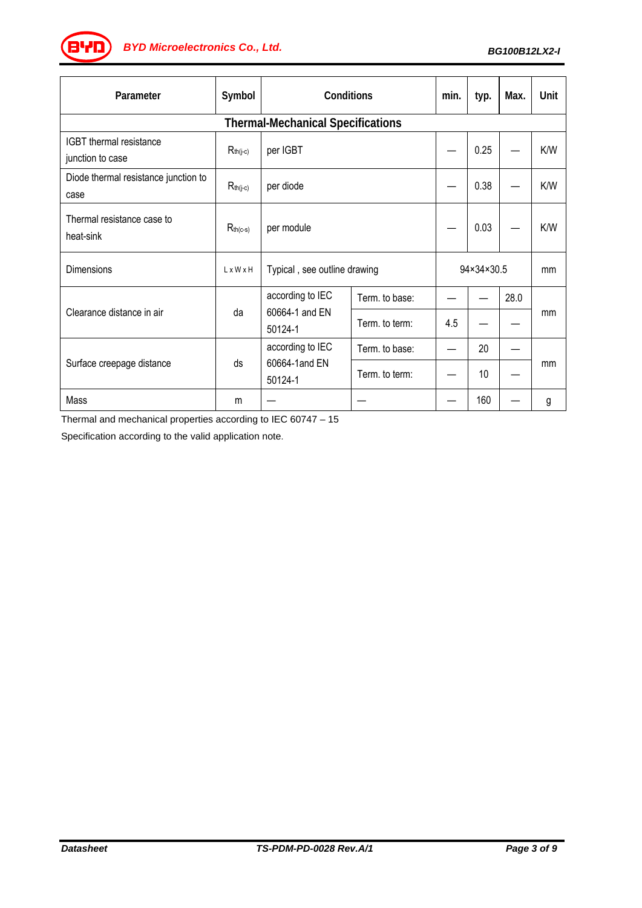*BG100B12LX2-I BYD Microelectronics Co., Ltd.*

| Parameter                                    | Symbol        | Conditions                                    |                | min.       | typ. | Max. | Unit |  |  |
|----------------------------------------------|---------------|-----------------------------------------------|----------------|------------|------|------|------|--|--|
| <b>Thermal-Mechanical Specifications</b>     |               |                                               |                |            |      |      |      |  |  |
| IGBT thermal resistance<br>junction to case  | $R_{th(j-c)}$ | per IGBT                                      |                |            | 0.25 |      | K/W  |  |  |
| Diode thermal resistance junction to<br>case | $R_{th(j-c)}$ | per diode                                     |                |            | 0.38 |      | K/W  |  |  |
| Thermal resistance case to<br>heat-sink      | $R_{th(c-s)}$ | per module                                    |                |            | 0.03 |      | K/W  |  |  |
| Dimensions                                   | LxWxH         | Typical, see outline drawing                  |                | 94×34×30.5 |      | mm   |      |  |  |
| Clearance distance in air                    | da            | according to IEC<br>60664-1 and EN<br>50124-1 | Term. to base: |            |      | 28.0 |      |  |  |
|                                              |               |                                               | Term. to term: | 4.5        |      |      | mm   |  |  |
| Surface creepage distance                    | ds            | according to IEC<br>60664-1and EN<br>50124-1  | Term. to base: |            | 20   |      | mm   |  |  |
|                                              |               |                                               | Term. to term: |            | 10   |      |      |  |  |
| Mass                                         | m             |                                               |                |            | 160  |      | g    |  |  |

Thermal and mechanical properties according to IEC 60747 – 15

Specification according to the valid application note.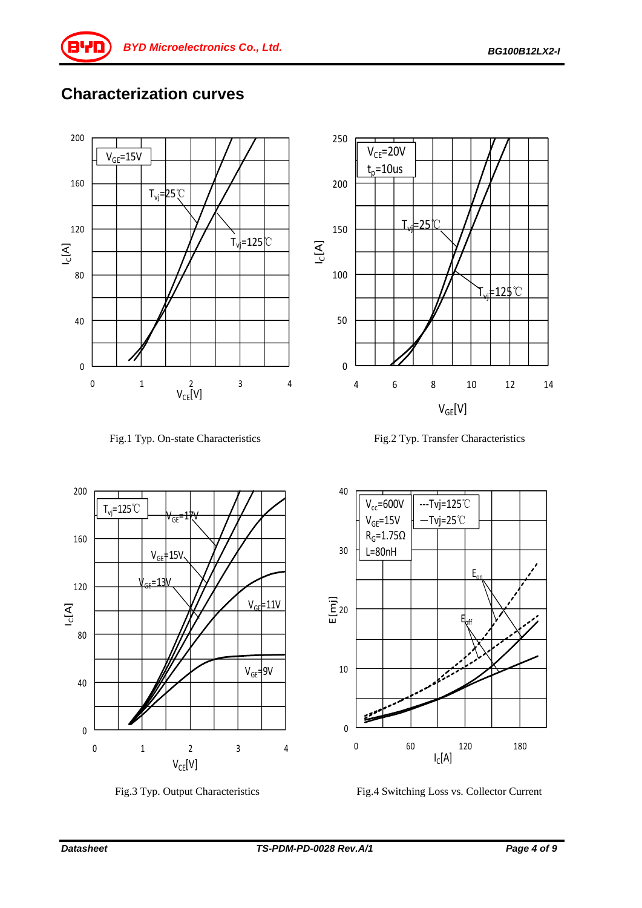## **Characterization curves**















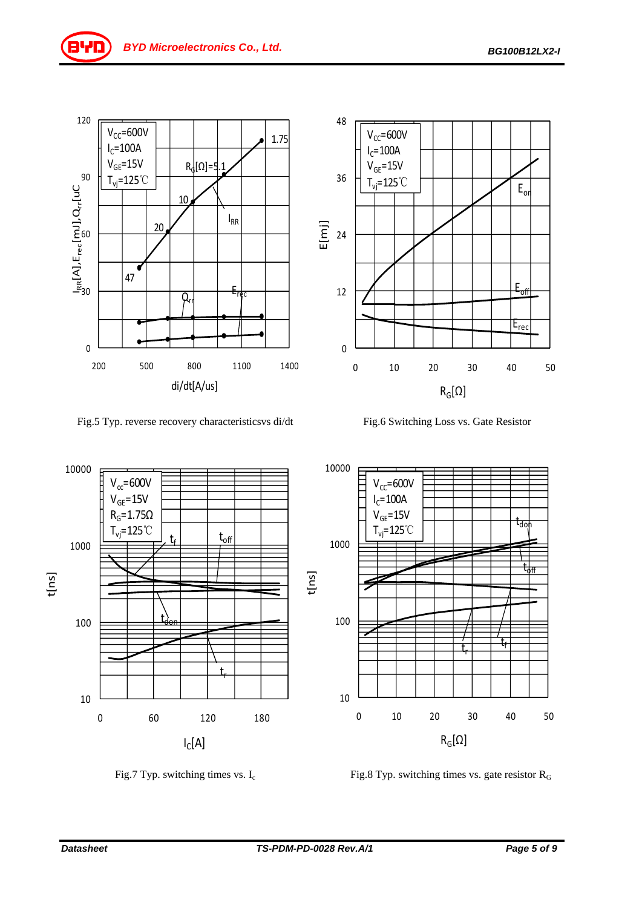Eoff

Erec



Fig.5 Typ. reverse recovery characteristicsvs di/dt Fig.6 Switching Loss vs. Gate Resistor

0 10 20 30 40 50

 $T_{\text{vj}}$ =125℃  $F_{\text{or}}$ 

 $R_G[\Omega]$ 



0

12

- Ξ<br>E 24<br>E

36

48

 $V_{CC}$ =600V  $I_C = 100A$  $V_{GE}$ =15V

Fig.7 Typ. switching times vs.  $I_c$  Fig.8 Typ. switching times vs. gate resistor  $R_G$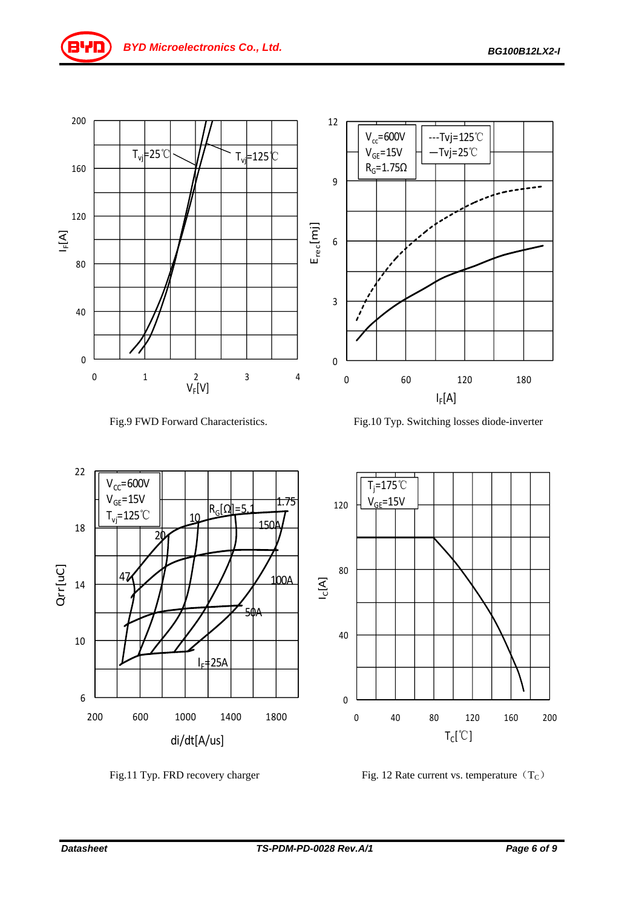











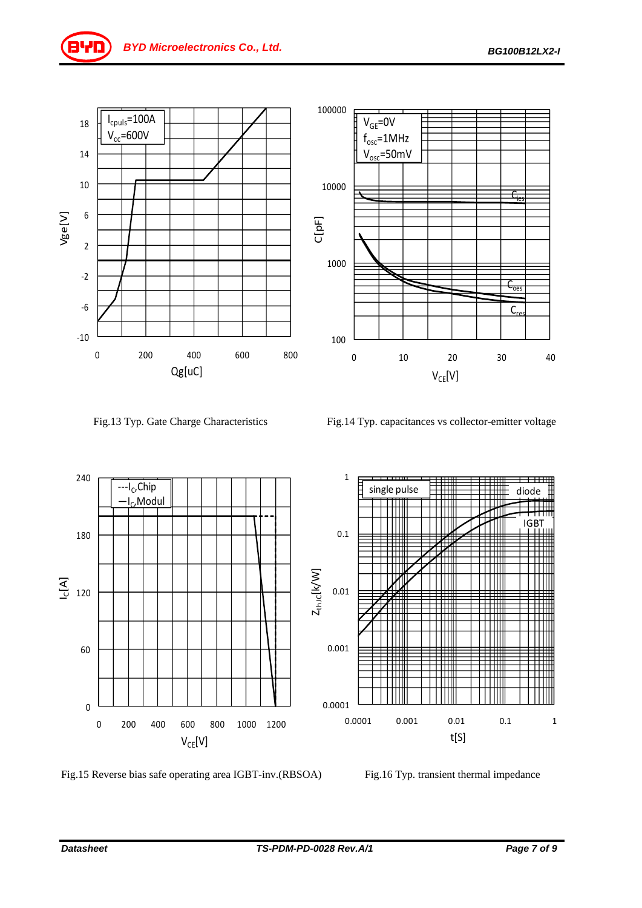

Fig.13 Typ. Gate Charge Characteristics Fig.14 Typ. capacitances vs collector-emitter voltage



Fig.15 Reverse bias safe operating area IGBT-inv.(RBSOA) Fig.16 Typ. transient thermal impedance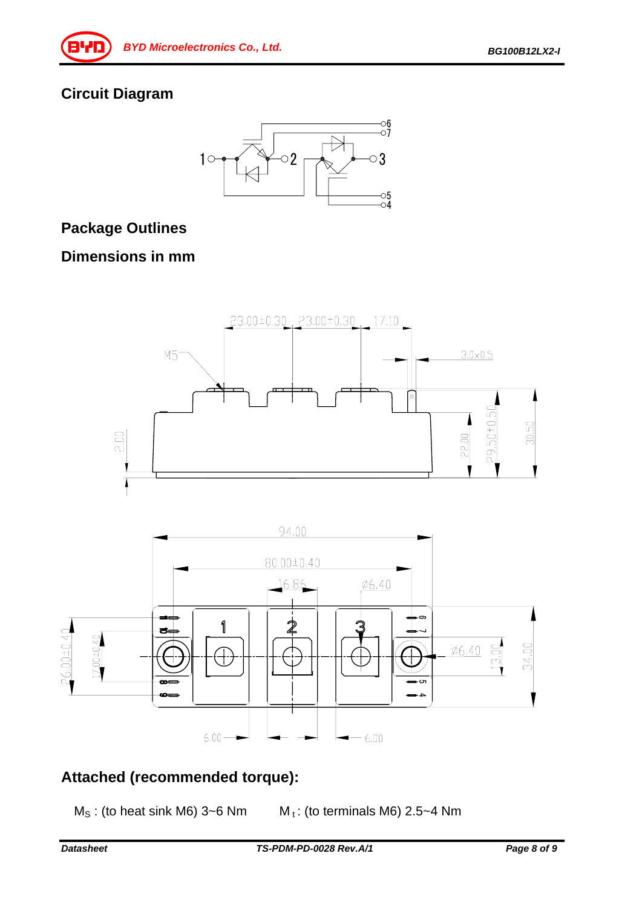## **Circuit Diagram**



## **Package Outlines**

## **Dimensions in mm**





## **Attached (recommended torque):**

 $M<sub>S</sub>$ : (to heat sink M6) 3~6 Nm  $M<sub>t</sub>$ : (to terminals M6) 2.5~4 Nm